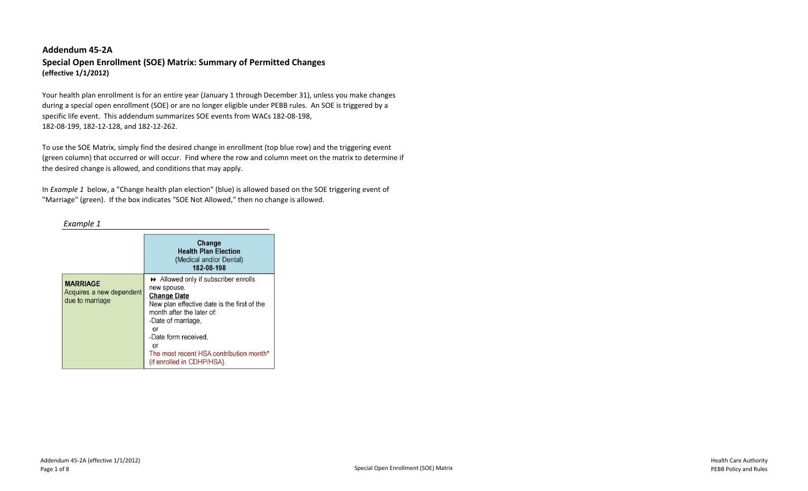# **Addendum 45-2A Special Open Enrollment (SOE) Matrix: Summary of Permitted Changes (effective 1/1/2012)**

Your health plan enrollment is for an entire year (January 1 through December 31), unless you make changes during a special open enrollment (SOE) or are no longer eligible under PEBB rules. An SOE is triggered by a specific life event. This addendum summarizes SOE events from WACs 182-08-198, 182-08-199, 182-12-128, and 182-12-262.

To use the SOE Matrix, simply find the desired change in enrollment (top blue row) and the triggering event (green column) that occurred or will occur. Find where the row and column meet on the matrix to determine if the desired change is allowed, and conditions that may apply.

In *Example 1* below, a "Change health plan election" (blue) is allowed based on the SOE triggering event of "Marriage" (green). If the box indicates "SOE Not Allowed," then no change is allowed.

#### *Example 1*

|                                                                | Change<br><b>Health Plan Election</b><br>(Medical and/or Dental)<br>182-08-198                                                                                                                                                                                                         |
|----------------------------------------------------------------|----------------------------------------------------------------------------------------------------------------------------------------------------------------------------------------------------------------------------------------------------------------------------------------|
| <b>MARRIAGE</b><br>Acquires a new dependent<br>due to marriage | Allowed only if subscriber enrolls<br>new spouse.<br><b>Change Date</b><br>New plan effective date is the first of the<br>month after the later of:<br>-Date of marriage.<br>or<br>-Date form received.<br>or<br>The most recent HSA contribution month*<br>(if enrolled in CDHP/HSA). |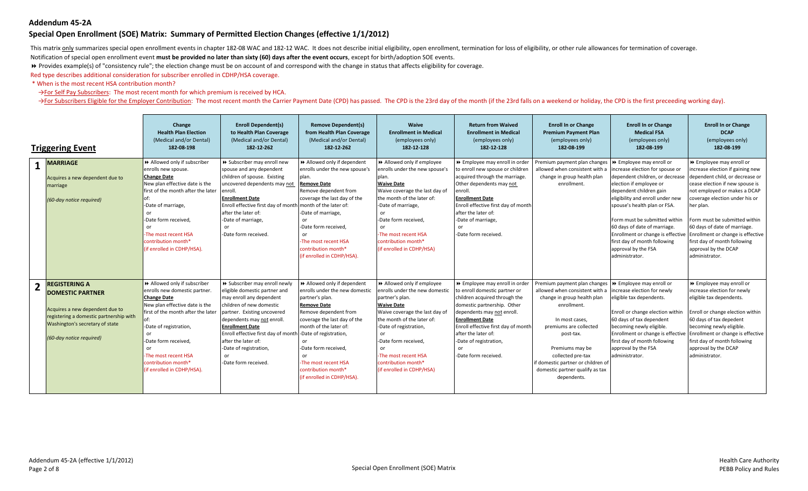#### **Special Open Enrollment (SOE) Matrix: Summary of Permitted Election Changes (effective 1/1/2012)**

This matrix only summarizes special open enrollment events in chapter 182-08 WAC and 182-12 WAC. It does not describe initial eligibility, open enrollment, termination for loss of eligibility, or other rule allowances for

Notification of special open enrollment event **must be provided no later than sixty (60) days after the event occurs**, except for birth/adoption SOE events.

8 Provides example(s) of "consistency rule"; the election change must be on account of and correspond with the change in status that affects eligibility for coverage.

Red type describes additional consideration for subscriber enrolled in CDHP/HSA coverage.

\* When is the most recent HSA contribution month?

→For Self Pay Subscribers: The most recent month for which premium is received by HCA.

>For Subscribers Eligible for the Employer Contribution: The most recent month the Carrier Payment Date (CPD) has passed. The CPD is the 23rd day of the month (if the 23rd falls on a weekend or holiday, the CPD is the firs

| <b>Triggering Event</b> |                                                                                                                                                                                              | Change<br><b>Health Plan Election</b><br>(Medical and/or Dental)<br>182-08-198                                                                                                                                                                                                                         | <b>Enroll Dependent(s)</b><br>to Health Plan Coverage<br>(Medical and/or Dental)<br>182-12-262                                                                                                                                                                                                                                                       | <b>Remove Dependent(s)</b><br>from Health Plan Coverage<br>(Medical and/or Dental)<br>182-12-262                                                                                                                                                                                                             | Waive<br><b>Enrollment in Medical</b><br>(employees only)<br>182-12-128                                                                                                                                                                                                                             | <b>Return from Waived</b><br><b>Enrollment in Medical</b><br>(employees only)<br>182-12-128                                                                                                                                                                                                              | <b>Enroll In or Change</b><br><b>Premium Payment Plan</b><br>(employees only)<br>182-08-199                                                                                                                                                                                                                                      | <b>Enroll In or Change</b><br><b>Medical FSA</b><br>(employees only)<br>182-08-199                                                                                                                                                                                                                                                     | <b>Enroll In or Change</b><br><b>DCAP</b><br>(employees only)<br>182-08-199                                                                                                                                                                                                                                                                                                                                                         |
|-------------------------|----------------------------------------------------------------------------------------------------------------------------------------------------------------------------------------------|--------------------------------------------------------------------------------------------------------------------------------------------------------------------------------------------------------------------------------------------------------------------------------------------------------|------------------------------------------------------------------------------------------------------------------------------------------------------------------------------------------------------------------------------------------------------------------------------------------------------------------------------------------------------|--------------------------------------------------------------------------------------------------------------------------------------------------------------------------------------------------------------------------------------------------------------------------------------------------------------|-----------------------------------------------------------------------------------------------------------------------------------------------------------------------------------------------------------------------------------------------------------------------------------------------------|----------------------------------------------------------------------------------------------------------------------------------------------------------------------------------------------------------------------------------------------------------------------------------------------------------|----------------------------------------------------------------------------------------------------------------------------------------------------------------------------------------------------------------------------------------------------------------------------------------------------------------------------------|----------------------------------------------------------------------------------------------------------------------------------------------------------------------------------------------------------------------------------------------------------------------------------------------------------------------------------------|-------------------------------------------------------------------------------------------------------------------------------------------------------------------------------------------------------------------------------------------------------------------------------------------------------------------------------------------------------------------------------------------------------------------------------------|
| $\mathbf{1}$            | <b>MARRIAGE</b><br>Acquires a new dependent due to<br>marriage<br>(60-day notice required)                                                                                                   | >> Allowed only if subscriber<br>enrolls new spouse.<br><b>Change Date</b><br>New plan effective date is the<br>first of the month after the later<br>of:<br>-Date of marriage,<br>or<br>-Date form received,<br>or<br>-The most recent HSA<br>contribution month*<br>(if enrolled in CDHP/HSA).       | >> Subscriber may enroll new<br>spouse and any dependent<br>children of spouse. Existing<br>uncovered dependents may not<br>enroll.<br><b>Enrollment Date</b><br>Enroll effective first day of month month of the later of:<br>after the later of:<br>-Date of marriage,<br>or<br>-Date form received.                                               | >> Allowed only if dependent<br>enrolls under the new spouse's<br>plan.<br><b>Remove Date</b><br>Remove dependent from<br>coverage the last day of the<br>-Date of marriage,<br>or.<br>-Date form received.<br>or<br>-The most recent HSA<br>contribution month*<br>(if enrolled in CDHP/HSA).               | Allowed only if employee<br>enrolls under the new spouse's<br>plan.<br><b>Waive Date</b><br>Waive coverage the last day of<br>the month of the later of:<br>-Date of marriage,<br>or<br>-Date form received.<br>or<br>-The most recent HSA<br>contribution month*<br>(if enrolled in CDHP/HSA)      | >> Employee may enroll in order<br>to enroll new spouse or children<br>acquired through the marriage.<br>Other dependents may not<br>enroll.<br><b>Enrollment Date</b><br>Enroll effective first day of month<br>after the later of:<br>-Date of marriage,<br>or<br>-Date form received.                 | Premium payment plan changes   ▶ Employee may enroll or<br>allowed when consistent with a<br>change in group health plan<br>enrollment.                                                                                                                                                                                          | increase election for spouse or<br>dependent children, or decrease<br>election if employee or<br>dependent children gain<br>eligibility and enroll under new<br>spouse's health plan or FSA.<br>Form must be submitted within<br>60 days of date of marriage.<br>first day of month following<br>approval by the FSA<br>administrator. | ▶ Employee may enroll or<br>increase election if gaining new<br>dependent child, or decrease or<br>cease election if new spouse is<br>not employed or makes a DCAP<br>coverage election under his or<br>her plan.<br>Form must be submitted within<br>60 days of date of marriage.<br>Enrollment or change is effective Enrollment or change is effective<br>first day of month following<br>approval by the DCAP<br>administrator. |
|                         | <b>REGISTERING A</b><br><b>DOMESTIC PARTNER</b><br>Acquires a new dependent due to<br>registering a domestic partnership with<br>Washington's secretary of state<br>(60-day notice required) | >> Allowed only if subscriber<br>enrolls new domestic partner.<br><b>Change Date</b><br>New plan effective date is the<br>first of the month after the later<br>-Date of registration,<br>or<br>-Date form received,<br>or<br>The most recent HSA<br>contribution month*<br>(if enrolled in CDHP/HSA). | >> Subscriber may enroll newly<br>eligible domestic partner and<br>may enroll any dependent<br>children of new domestic<br>partner. Existing uncovered<br>dependents may not enroll.<br><b>Enrollment Date</b><br>Enroll effective first day of month -Date of registration,<br>after the later of:<br>-Date of registration,<br>-Date form received | >> Allowed only if dependent<br>enrolls under the new domestic<br>partner's plan.<br><b>Remove Date</b><br>Remove dependent from<br>coverage the last day of the<br>month of the later of:<br>nr.<br>-Date form received,<br>or<br>-The most recent HSA<br>contribution month*<br>(if enrolled in CDHP/HSA). | >> Allowed only if employee<br>enrolls under the new domestic<br>partner's plan.<br><b>Waive Date</b><br>Waive coverage the last day of<br>the month of the later of:<br>-Date of registration,<br>-Date form received,<br>-The most recent HSA<br>contribution month*<br>(if enrolled in CDHP/HSA) | >> Employee may enroll in order<br>to enroll domestic partner or<br>children acquired through the<br>domestic partnership. Other<br>dependents may not enroll.<br><b>Enrollment Date</b><br>Enroll effective first day of month<br>after the later of:<br>-Date of registration,<br>-Date form received. | Premium payment plan changes   ▶ Employee may enroll or<br>allowed when consistent with a<br>change in group health plan<br>enrollment.<br>In most cases,<br>premiums are collected<br>post-tax.<br>Premiums may be<br>collected pre-tax<br>if domestic partner or children of<br>domestic partner qualify as tax<br>dependents. | increase election for newly<br>eligible tax dependents.<br>Enroll or change election within<br>60 days of tax dependent<br>becoming newly eligible.<br>first day of month following<br>approval by the FSA<br>administrator.                                                                                                           | >> Employee may enroll or<br>increase election for newly<br>eligible tax dependents.<br>Enroll or change election within<br>60 days of tax depedent<br>becoming newly eligible.<br>Enrollment or change is effective Enrollment or change is effective<br>first day of month following<br>approval by the DCAP<br>administrator.                                                                                                    |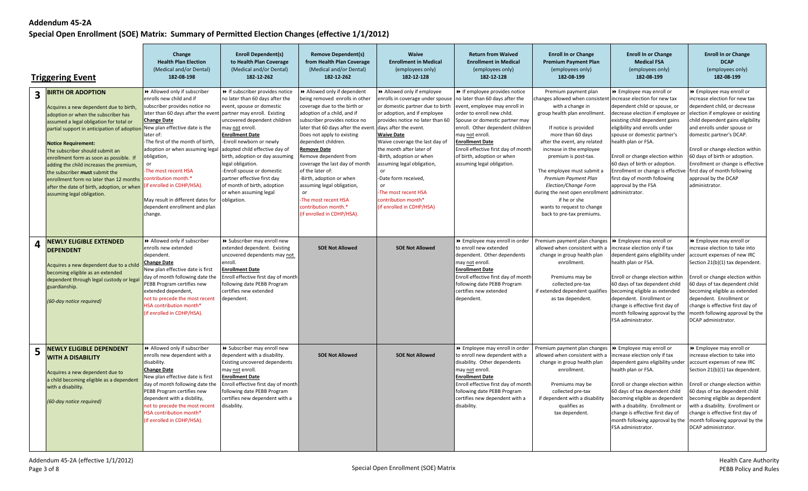|                         |                                                                                                                                                                                                                                                                                                                                                                                                                                                                                                                            | Change<br><b>Health Plan Election</b><br>(Medical and/or Dental)<br>182-08-198                                                                                                                                                                                                                                                                                                                                                                             | <b>Enroll Dependent(s)</b><br>to Health Plan Coverage<br>(Medical and/or Dental)<br>182-12-262                                                                                                                                                                                                                                                                                                                                                                                 | <b>Remove Dependent(s)</b><br>from Health Plan Coverage<br>(Medical and/or Dental)<br>182-12-262                                                                                                                                                                                                                                                                                                                                                                                                             | Waive<br><b>Enrollment in Medical</b><br>(employees only)<br>182-12-128                                                                                                                                                                                                                                                                                                                                                                                      | <b>Return from Waived</b><br><b>Enrollment in Medical</b><br>(employees only)<br>182-12-128                                                                                                                                                                                                                                                                  | <b>Enroll In or Change</b><br><b>Premium Payment Plan</b><br>(employees only)<br>182-08-199                                                                                                                                                                                                                                                                                                                                                                                             | <b>Enroll In or Change</b><br><b>Medical FSA</b><br>(employees only)<br>182-08-199                                                                                                                                                                                                                                                                                                                                   | <b>Enroll In or Change</b><br><b>DCAP</b><br>(employees only)<br>182-08-199                                                                                                                                                                                                                                                                                                       |
|-------------------------|----------------------------------------------------------------------------------------------------------------------------------------------------------------------------------------------------------------------------------------------------------------------------------------------------------------------------------------------------------------------------------------------------------------------------------------------------------------------------------------------------------------------------|------------------------------------------------------------------------------------------------------------------------------------------------------------------------------------------------------------------------------------------------------------------------------------------------------------------------------------------------------------------------------------------------------------------------------------------------------------|--------------------------------------------------------------------------------------------------------------------------------------------------------------------------------------------------------------------------------------------------------------------------------------------------------------------------------------------------------------------------------------------------------------------------------------------------------------------------------|--------------------------------------------------------------------------------------------------------------------------------------------------------------------------------------------------------------------------------------------------------------------------------------------------------------------------------------------------------------------------------------------------------------------------------------------------------------------------------------------------------------|--------------------------------------------------------------------------------------------------------------------------------------------------------------------------------------------------------------------------------------------------------------------------------------------------------------------------------------------------------------------------------------------------------------------------------------------------------------|--------------------------------------------------------------------------------------------------------------------------------------------------------------------------------------------------------------------------------------------------------------------------------------------------------------------------------------------------------------|-----------------------------------------------------------------------------------------------------------------------------------------------------------------------------------------------------------------------------------------------------------------------------------------------------------------------------------------------------------------------------------------------------------------------------------------------------------------------------------------|----------------------------------------------------------------------------------------------------------------------------------------------------------------------------------------------------------------------------------------------------------------------------------------------------------------------------------------------------------------------------------------------------------------------|-----------------------------------------------------------------------------------------------------------------------------------------------------------------------------------------------------------------------------------------------------------------------------------------------------------------------------------------------------------------------------------|
|                         | <b>Triggering Event</b>                                                                                                                                                                                                                                                                                                                                                                                                                                                                                                    |                                                                                                                                                                                                                                                                                                                                                                                                                                                            |                                                                                                                                                                                                                                                                                                                                                                                                                                                                                |                                                                                                                                                                                                                                                                                                                                                                                                                                                                                                              |                                                                                                                                                                                                                                                                                                                                                                                                                                                              |                                                                                                                                                                                                                                                                                                                                                              |                                                                                                                                                                                                                                                                                                                                                                                                                                                                                         |                                                                                                                                                                                                                                                                                                                                                                                                                      |                                                                                                                                                                                                                                                                                                                                                                                   |
| $\overline{\mathbf{3}}$ | <b>BIRTH OR ADOPTION</b><br>Acquires a new dependent due to birth,<br>adoption or when the subscriber has<br>assumed a legal obligation for total or<br>partial support in anticipation of adoption<br><b>Notice Requirement:</b><br>The subscriber should submit an<br>enrollment form as soon as possible. If<br>adding the child increases the premium,<br>the subscriber <b>must</b> submit the<br>enrollment form no later than 12 months<br>after the date of birth, adoption, or when<br>assuming legal obligation. | >> Allowed only if subscriber<br>enrolls new child and if<br>subscriber provides notice no<br>later than 60 days after the event<br><b>Change Date</b><br>New plan effective date is the<br>later of:<br>-The first of the month of birth,<br>adoption or when assuming legal<br>obligation,<br>The most recent HSA<br>contribution month.*<br>(if enrolled in CDHP/HSA).<br>May result in different dates for<br>dependent enrollment and plan<br>change. | >> If subscriber provides notice<br>no later than 60 days after the<br>event, spouse or domestic<br>partner may enroll. Existing<br>uncovered dependent children<br>may <u>not</u> enroll.<br><b>Enrollment Date</b><br>Enroll newborn or newly<br>adopted child effective day of<br>birth, adoption or day assuming<br>legal obligation.<br>-Enroll spouse or domestic<br>partner effective first day<br>of month of birth, adoption<br>or when assuming legal<br>obligation. | >> Allowed only if dependent<br>being removed enrolls in other<br>coverage due to the birth or<br>adoption of a child, and if<br>subscriber provides notice no<br>later that 60 days after the event.<br>Does not apply to existing<br>dependent children.<br><b>Remove Date</b><br>Remove dependent from<br>coverage the last day of month<br>of the later of:<br>-Birth, adoption or when<br>assuming legal obligation,<br>or<br>The most recent HSA<br>contribution month.*<br>(if enrolled in CDHP/HSA). | >> Allowed only if employee<br>enrolls in coverage under spouse<br>or domestic partner due to birth<br>or adoption, and if employee<br>provides notice no later than 60<br>days after the event.<br><b>Waive Date</b><br>Waive coverage the last day of<br>the month after later of<br>-Birth, adoption or when<br>assuming legal obligation,<br>or<br>-Date form received,<br>or<br>The most recent HSA<br>contribution month*<br>(if enrolled in CDHP/HSA) | → If employee provides notice<br>no later than 60 days after the<br>event, employee may enroll in<br>order to enroll new child.<br>Spouse or domestic partner may<br>enroll. Other dependent children<br>may <u>not</u> enroll.<br><b>Enrollment Date</b><br>Enroll effective first day of month<br>of birth, adoption or when<br>assuming legal obligation. | Premium payment plan<br>changes allowed when consistent increase election for new tax<br>with a change in<br>group health plan enrollment.<br>If notice is provided<br>more than 60 days<br>after the event, any related<br>increase in the employee<br>premium is post-tax.<br>The employee must submit a<br>Premium Payment Plan<br>Election/Change Form<br>during the next open enrollment administrator.<br>if he or she<br>wants to request to change<br>back to pre-tax premiums. | ▶ Employee may enroll or<br>dependent child or spouse, or<br>decrease election if employee o<br>existing child dependent gains<br>eligibility and enrolls under<br>spouse or domestic partner's<br>health plan or FSA.<br>Enroll or change election within<br>60 days of birth or adoption.<br>Enrollment or change is effective first day of month following<br>first day of month following<br>approval by the FSA | ▶ Employee may enroll or<br>increase election for new tax<br>dependent child, or decrease<br>election if employee or existing<br>child dependent gains eligibility<br>and enrolls under spouse or<br>domestic partner's DCAP.<br>Enroll or change election within<br>60 days of birth or adoption.<br>Enrollment or change is effective<br>approval by the DCAP<br>administrator. |
| 4                       | <b>NEWLY ELIGIBLE EXTENDED</b><br><b>DEPENDENT</b><br>Acquires a new dependent due to a child<br>becoming eligible as an extended<br>dependent through legal custody or legal<br>guardianship.<br>(60-day notice required)                                                                                                                                                                                                                                                                                                 | >> Allowed only if subscriber<br>enrolls new extended<br>dependent.<br><b>Change Date</b><br>New plan effective date is first<br>day of month following date the<br>PEBB Program certifies new<br>extended dependent,<br>not to precede the most recent<br>HSA contribution month*<br>(if enrolled in CDHP/HSA).                                                                                                                                           | >> Subscriber may enroll new<br>extended dependent. Existing<br>uncovered dependents may not<br>enroll.<br><u>Enrollment Date</u><br>Enroll effective first day of month<br>following date PEBB Program<br>certifies new extended<br>dependent.                                                                                                                                                                                                                                | <b>SOE Not Allowed</b>                                                                                                                                                                                                                                                                                                                                                                                                                                                                                       | <b>SOE Not Allowed</b>                                                                                                                                                                                                                                                                                                                                                                                                                                       | >> Employee may enroll in order<br>to enroll new extended<br>dependent. Other dependents<br>may not enroll.<br><b>Enrollment Date</b><br>Enroll effective first day of month<br>following date PEBB Program<br>certifies new extended<br>dependent.                                                                                                          | Premium payment plan changes  >> Employee may enroll or<br>allowed when consistent with a<br>change in group health plan<br>enrollment.<br>Premiums may be<br>collected pre-tax<br>if extended dependent qualifies becoming eligible as extended<br>as tax dependent.                                                                                                                                                                                                                   | increase election only if tax<br>dependent gains eligibility under<br>health plan or FSA.<br>Enroll or change election within<br>60 days of tax dependent child<br>dependent. Enrollment or<br>change is effective first day of<br>month following approval by the<br>FSA administrator.                                                                                                                             | ▶ Employee may enroll or<br>increase election to take into<br>account expenses of new IRC<br>Section 21(b)(1) tax dependent.<br>Enroll or change election within<br>60 days of tax dependent child<br>becoming eligible as extended<br>dependent. Enrollment or<br>change is effective first day of<br>month following approval by the<br>DCAP administrator.                     |
| 5                       | NEWLY ELIGIBLE DEPENDENT<br><b>WITH A DISABILITY</b><br>Acquires a new dependent due to<br>a child becoming eligible as a dependent<br>with a disability.<br>(60-day notice required)                                                                                                                                                                                                                                                                                                                                      | >> Allowed only if subscriber<br>enrolls new dependent with a<br>disability.<br><b>Change Date</b><br>New plan effective date is first<br>day of month following date the<br>PEBB Program certifies new<br>dependent with a disbility,<br>not to precede the most recent<br>HSA contribution month*<br>(if enrolled in CDHP/HSA).                                                                                                                          | >> Subscriber may enroll new<br>dependent with a disability.<br>Existing uncovered dependents<br>may <u>not</u> enroll.<br><b>Enrollment Date</b><br>Enroll effective first day of month<br>following date PEBB Program<br>certifies new dependent with a<br>disability.                                                                                                                                                                                                       | <b>SOE Not Allowed</b>                                                                                                                                                                                                                                                                                                                                                                                                                                                                                       | <b>SOE Not Allowed</b>                                                                                                                                                                                                                                                                                                                                                                                                                                       | >> Employee may enroll in order<br>to enroll new dependent with a<br>disability. Other dependents<br>may not enroll.<br><b>Enrollment Date</b><br>Enroll effective first day of month<br>following date PEBB Program<br>certifies new dependent with a<br>disability.                                                                                        | Premium payment plan changes   ▶ Employee may enroll or<br>allowed when consistent with a<br>change in group health plan<br>enrollment.<br>Premiums may be<br>collected pre-tax<br>if dependent with a disability<br>qualifies as<br>tax dependent.                                                                                                                                                                                                                                     | increase election only if tax<br>dependent gains eligibility under<br>health plan or FSA.<br>Enroll or change election within<br>60 days of tax dependent child<br>becoming eligible as dependent<br>with a disability. Enrollment or<br>change is effective first day of<br>month following approval by the<br>FSA administrator.                                                                                   | >> Employee may enroll or<br>increase election to take into<br>account expenses of new IRC<br>Section 21(b)(1) tax dependent.<br>Enroll or change election within<br>60 days of tax dependent child<br>becoming eligible as dependent<br>with a disability. Enrollment or<br>change is effective first day of<br>month following approval by the<br>DCAP administrator.           |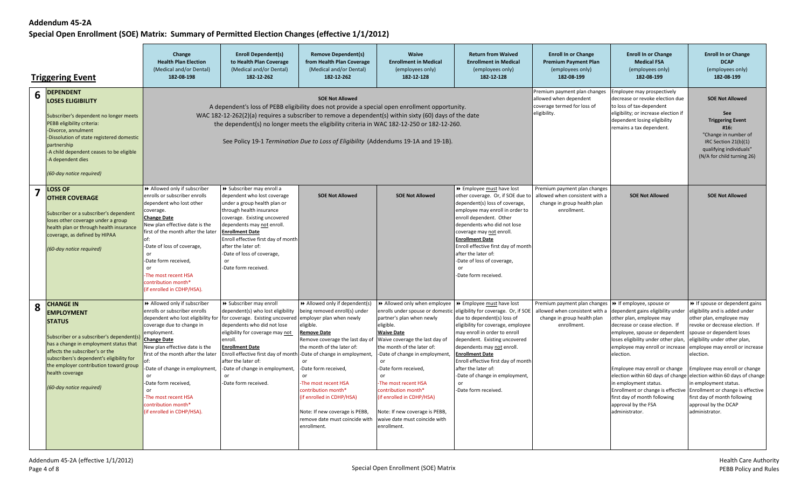|                         | <b>Triggering Event</b>                                                                                                                                                                                                                                                                                                | Change<br><b>Health Plan Election</b><br>(Medical and/or Dental)<br>182-08-198                                                                                                                                                                                                                                                                                                                                                | <b>Enroll Dependent(s)</b><br>to Health Plan Coverage<br>(Medical and/or Dental)<br>182-12-262                                                                                                                                                                                                                                                                                                 | <b>Remove Dependent(s)</b><br>from Health Plan Coverage<br>(Medical and/or Dental)<br>182-12-262                                                                                                                                                                                                                                                                            | Waive<br><b>Enrollment in Medical</b><br>(employees only)<br>182-12-128                                                                                                                                                                                                                                                                                                                                             | <b>Return from Waived</b><br><b>Enrollment in Medical</b><br>(employees only)<br>182-12-128                                                                                                                                                                                                                                                                                                 | <b>Enroll In or Change</b><br><b>Premium Payment Plan</b><br>(employees only)<br>182-08-199                  | <b>Enroll In or Change</b><br><b>Medical FSA</b><br>(employees only)<br>182-08-199                                                                                                                                                                                                                                                                                                                                         | <b>Enroll In or Change</b><br><b>DCAP</b><br>(employees only)<br>182-08-199                                                                                                                                                                                                                                                                                                                                                                                                                 |
|-------------------------|------------------------------------------------------------------------------------------------------------------------------------------------------------------------------------------------------------------------------------------------------------------------------------------------------------------------|-------------------------------------------------------------------------------------------------------------------------------------------------------------------------------------------------------------------------------------------------------------------------------------------------------------------------------------------------------------------------------------------------------------------------------|------------------------------------------------------------------------------------------------------------------------------------------------------------------------------------------------------------------------------------------------------------------------------------------------------------------------------------------------------------------------------------------------|-----------------------------------------------------------------------------------------------------------------------------------------------------------------------------------------------------------------------------------------------------------------------------------------------------------------------------------------------------------------------------|---------------------------------------------------------------------------------------------------------------------------------------------------------------------------------------------------------------------------------------------------------------------------------------------------------------------------------------------------------------------------------------------------------------------|---------------------------------------------------------------------------------------------------------------------------------------------------------------------------------------------------------------------------------------------------------------------------------------------------------------------------------------------------------------------------------------------|--------------------------------------------------------------------------------------------------------------|----------------------------------------------------------------------------------------------------------------------------------------------------------------------------------------------------------------------------------------------------------------------------------------------------------------------------------------------------------------------------------------------------------------------------|---------------------------------------------------------------------------------------------------------------------------------------------------------------------------------------------------------------------------------------------------------------------------------------------------------------------------------------------------------------------------------------------------------------------------------------------------------------------------------------------|
| 6                       | <b>DEPENDENT</b><br><b>LOSES ELIGIBILITY</b><br>Subscriber's dependent no longer meets<br>PEBB eligibility criteria:<br>-Divorce, annulment<br>-Dissolution of state registered domestic<br>partnership<br>-A child dependent ceases to be eligible<br>-A dependent dies<br>(60-day notice required)                   |                                                                                                                                                                                                                                                                                                                                                                                                                               | A dependent's loss of PEBB eligibility does not provide a special open enrollment opportunity.<br>WAC 182-12-262(2)(a) requires a subscriber to remove a dependent(s) within sixty (60) days of the date<br>the dependent(s) no longer meets the eligibility criteria in WAC 182-12-250 or 182-12-260.<br>See Policy 19-1 Termination Due to Loss of Eligibility (Addendums 19-1A and 19-1B).  | Premium payment plan changes<br>allowed when dependent<br>coverage termed for loss of<br>eligibility.                                                                                                                                                                                                                                                                       | Employee may prospectively<br>decrease or revoke election due<br>to loss of tax-dependent<br>eligibility; or increase election if<br>dependent losing eligibility<br>remains a tax dependent.                                                                                                                                                                                                                       | <b>SOE Not Allowed</b><br>See<br><b>Triggering Event</b><br>#16:<br>"Change in number of<br>IRC Section 21(b)(1)<br>qualifying individuals"<br>(N/A for child turning 26)                                                                                                                                                                                                                   |                                                                                                              |                                                                                                                                                                                                                                                                                                                                                                                                                            |                                                                                                                                                                                                                                                                                                                                                                                                                                                                                             |
| $\overline{\mathbf{z}}$ | <b>LOSS OF</b><br><b>OTHER COVERAGE</b><br>Subscriber or a subscriber's dependent<br>loses other coverage under a group<br>health plan or through health insurance<br>coverage, as defined by HIPAA<br>(60-day notice required)                                                                                        | >> Allowed only if subscriber<br>enrolls or subscriber enrolls<br>dependent who lost other<br>coverage.<br><b>Change Date</b><br>New plan effective date is the<br>first of the month after the later<br>of:<br>Date of loss of coverage,<br>$\alpha$ r<br>Date form received.<br>or<br>The most recent HSA<br>contribution month*<br>(if enrolled in CDHP/HSA).                                                              | > Subscriber may enroll a<br>dependent who lost coverage<br>under a group health plan or<br>through health insurance<br>coverage. Existing uncovered<br>dependents may not enroll.<br><b>Enrollment Date</b><br>Enroll effective first day of month<br>after the later of:<br>-Date of loss of coverage,<br>or<br>-Date form received                                                          | <b>SOE Not Allowed</b>                                                                                                                                                                                                                                                                                                                                                      | <b>SOE Not Allowed</b>                                                                                                                                                                                                                                                                                                                                                                                              | >> Employee must have lost<br>other coverage. Or, if SOE due to<br>dependent(s) loss of coverage,<br>employee may enroll in order to<br>enroll dependent. Other<br>dependents who did not lose<br>coverage may not enroll.<br><b>Enrollment Date</b><br>Enroll effective first day of month<br>after the later of:<br>-Date of loss of coverage,<br>or<br>-Date form received               | Premium payment plan changes<br>allowed when consistent with a<br>change in group health plan<br>enrollment. | <b>SOE Not Allowed</b>                                                                                                                                                                                                                                                                                                                                                                                                     | <b>SOE Not Allowed</b>                                                                                                                                                                                                                                                                                                                                                                                                                                                                      |
| 8                       | <b>CHANGE IN</b><br><b>EMPLOYMENT</b><br><b>STATUS</b><br>Subscriber or a subscriber's dependent(s)<br>has a change in employment status that<br>affects the subscriber's or the<br>subscribers's dependent's eligibility for<br>the employer contribution toward group<br>health coverage<br>(60-day notice required) | >> Allowed only if subscriber<br>enrolls or subscriber enrolls<br>dependent who lost eligibility for<br>coverage due to change in<br>employment.<br><b>Change Date</b><br>New plan effective date is the<br>first of the month after the later<br>Date of change in employment<br>or<br>Date form received,<br>or<br>The most recent HSA<br>$\mathop{\mathsf{contribution}}$ month $\mathop{*}$<br>(if enrolled in CDHP/HSA). | > Subscriber may enroll<br>dependent(s) who lost eligibility<br>for coverage. Existing uncovered employer plan when newly<br>dependents who did not lose<br>eligibility for coverage may not<br>enroll.<br><b>Enrollment Date</b><br>Enroll effective first day of month -Date of change in employment,<br>after the later of:<br>-Date of change in employment,<br>or<br>-Date form received. | $\rightarrow$ Allowed only if dependent(s)<br>being removed enroll(s) under<br>eligible.<br><b>Remove Date</b><br>Remove coverage the last day of<br>the month of the later of:<br>-Date form received,<br>or<br>The most recent HSA<br>contribution month*<br>(if enrolled in CDHP/HSA)<br>Note: If new coverage is PEBB,<br>remove date must coincide with<br>enrollment. | Allowed only when employee   >> Employee must have lost<br>partner's plan when newly<br>eligible.<br><b>Waive Date</b><br>Waive coverage the last day of<br>the month of the later of:<br>-Date of change in employment,<br>-Date form received.<br>or<br>The most recent HSA<br>contribution month*<br>(if enrolled in CDHP/HSA)<br>Note: If new coverage is PEBB,<br>waive date must coincide with<br>enrollment. | enrolls under spouse or domestic eligibility for coverage. Or, if SOE<br>due to dependent(s) loss of<br>eligibility for coverage, employee<br>may enroll in order to enroll<br>dependent. Existing uncovered<br>dependents may not enroll.<br><b>Enrollment Date</b><br>Enroll effective first day of month<br>after the later of:<br>-Date of change in employment,<br>-Date form received | Premium payment plan changes<br>allowed when consistent with a<br>change in group health plan<br>enrollment. | → If employee, spouse or<br>dependent gains eligibility under<br>other plan, employee may<br>decrease or cease election. If<br>employee, spouse or dependent<br>loses eligibility under other plan<br>employee may enroll or increase<br>election.<br>Employee may enroll or change<br>in employment status.<br>Enrollment or change is effective<br>first day of month following<br>approval by the FSA<br>administrator. | If spouse or dependent gains<br>eligibility and is added under<br>other plan, employee may<br>revoke or decrease election. If<br>spouse or dependent loses<br>eligibility under other plan,<br>employee may enroll or increase<br>election.<br>Employee may enroll or change<br>election within 60 days of change election within 60 days of change<br>in employment status.<br>Enrollment or change is effective<br>first day of month following<br>approval by the DCAP<br>administrator. |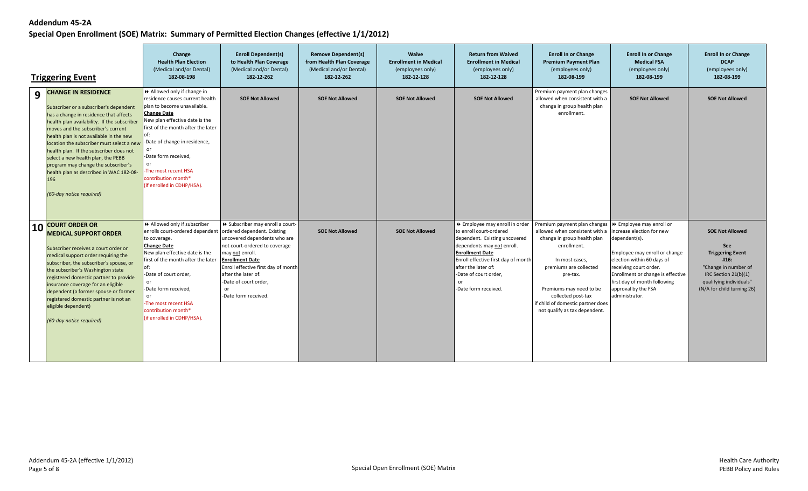|           | <b>Triggering Event</b>                                                                                                                                                                                                                                                                                                                                                                                                                                                                           | Change<br><b>Health Plan Election</b><br>(Medical and/or Dental)<br>182-08-198                                                                                                                                                                                                                                                       | <b>Enroll Dependent(s)</b><br>to Health Plan Coverage<br>(Medical and/or Dental)<br>182-12-262                                                                                                                                                                                                             | <b>Remove Dependent(s)</b><br>from Health Plan Coverage<br>(Medical and/or Dental)<br>182-12-262 | <b>Waive</b><br><b>Enrollment in Medical</b><br>(employees only)<br>182-12-128 | <b>Return from Waived</b><br><b>Enrollment in Medical</b><br>(employees only)<br>182-12-128                                                                                                                                                                             | <b>Enroll In or Change</b><br><b>Premium Payment Plan</b><br>(employees only)<br>182-08-199                                                                                                                                                                                                                            | <b>Enroll In or Change</b><br><b>Medical FSA</b><br>(employees only)<br>182-08-199                                                                                                                                                                | <b>Enroll In or Change</b><br><b>DCAP</b><br>(employees only)<br>182-08-199                                                                                                 |
|-----------|---------------------------------------------------------------------------------------------------------------------------------------------------------------------------------------------------------------------------------------------------------------------------------------------------------------------------------------------------------------------------------------------------------------------------------------------------------------------------------------------------|--------------------------------------------------------------------------------------------------------------------------------------------------------------------------------------------------------------------------------------------------------------------------------------------------------------------------------------|------------------------------------------------------------------------------------------------------------------------------------------------------------------------------------------------------------------------------------------------------------------------------------------------------------|--------------------------------------------------------------------------------------------------|--------------------------------------------------------------------------------|-------------------------------------------------------------------------------------------------------------------------------------------------------------------------------------------------------------------------------------------------------------------------|------------------------------------------------------------------------------------------------------------------------------------------------------------------------------------------------------------------------------------------------------------------------------------------------------------------------|---------------------------------------------------------------------------------------------------------------------------------------------------------------------------------------------------------------------------------------------------|-----------------------------------------------------------------------------------------------------------------------------------------------------------------------------|
| 9         | <b>CHANGE IN RESIDENCE</b><br>Subscriber or a subscriber's dependent<br>has a change in residence that affects<br>health plan availability. If the subscriber<br>moves and the subscriber's current<br>health plan is not available in the new<br>location the subscriber must select a nev<br>health plan. If the subscriber does not<br>select a new health plan, the PEBB<br>program may change the subscriber's<br>health plan as described in WAC 182-08-<br>196<br>(60-day notice required) | Allowed only if change in<br>residence causes current health<br>plan to become unavailable.<br><b>Change Date</b><br>New plan effective date is the<br>first of the month after the later<br>-Date of change in residence,<br>-Date form received,<br>or<br>The most recent HSA<br>contribution month*<br>(if enrolled in CDHP/HSA). | <b>SOE Not Allowed</b>                                                                                                                                                                                                                                                                                     | <b>SOE Not Allowed</b>                                                                           | <b>SOE Not Allowed</b>                                                         | <b>SOE Not Allowed</b>                                                                                                                                                                                                                                                  | Premium payment plan changes<br>allowed when consistent with a<br>change in group health plan<br>enrollment                                                                                                                                                                                                            | <b>SOE Not Allowed</b>                                                                                                                                                                                                                            | <b>SOE Not Allowed</b>                                                                                                                                                      |
| <b>10</b> | <b>COURT ORDER OR</b><br><b>MEDICAL SUPPORT ORDER</b><br>Subscriber receives a court order or<br>medical support order requiring the<br>subscriber, the subscriber's spouse, or<br>the subscriber's Washington state<br>registered domestic partner to provide<br>insurance coverage for an eligible<br>dependent (a former spouse or former<br>registered domestic partner is not an<br>eligible dependent)<br>(60-day notice required)                                                          | Allowed only if subscriber<br>enrolls court-ordered dependent<br>to coverage.<br><b>Change Date</b><br>New plan effective date is the<br>first of the month after the later<br>-Date of court order,<br><b>or</b><br>-Date form received,<br>-The most recent HSA<br>contribution month*<br>(if enrolled in CDHP/HSA).               | >> Subscriber may enroll a court-<br>ordered dependent. Existing<br>uncovered dependents who are<br>not court-ordered to coverage<br>may not enroll.<br><b>Enrollment Date</b><br>Enroll effective first day of month<br>after the later of:<br>-Date of court order,<br><b>or</b><br>-Date form received. | <b>SOE Not Allowed</b>                                                                           | <b>SOE Not Allowed</b>                                                         | ▶ Employee may enroll in order<br>to enroll court-ordered<br>dependent. Existing uncovered<br>dependents may not enroll.<br><b>Enrollment Date</b><br>Enroll effective first day of month<br>after the later of:<br>-Date of court order.<br>or<br>-Date form received. | Premium payment plan changes   ▶ Employee may enroll or<br>allowed when consistent with a<br>change in group health plan<br>enrollment.<br>In most cases,<br>premiums are collected<br>pre-tax.<br>Premiums may need to be<br>collected post-tax<br>if child of domestic partner does<br>not qualify as tax dependent. | increase election for new<br>dependent(s).<br>Employee may enroll or change<br>election within 60 days of<br>receiving court order.<br>Enrollment or change is effective<br>first day of month following<br>approval by the FSA<br>administrator. | <b>SOE Not Allowed</b><br>See<br><b>Triggering Event</b><br>#16:<br>"Change in number of<br>IRC Section $21(b)(1)$<br>qualifying individuals"<br>(N/A for child turning 26) |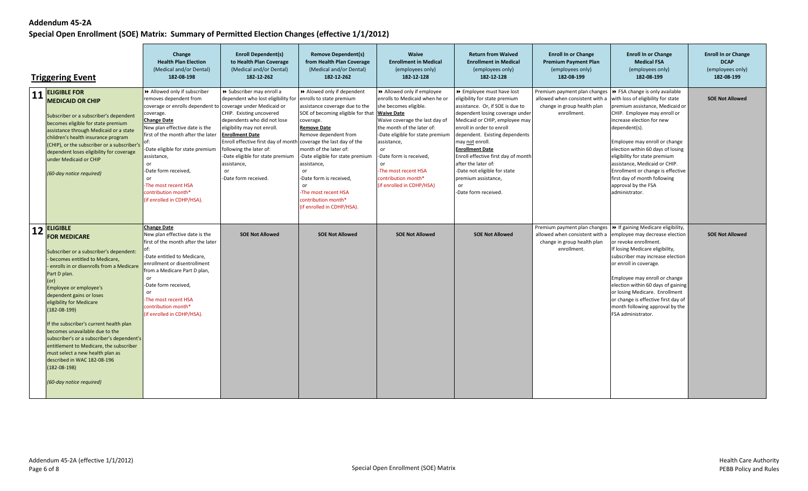|    | <b>Triggering Event</b>                                                                                                                                                                                                                                                                                                                                                                                                                                                                                                                                                                | Change<br><b>Health Plan Election</b><br>(Medical and/or Dental)<br>182-08-198                                                                                                                                                                                                                                                                                          | <b>Enroll Dependent(s)</b><br>to Health Plan Coverage<br>(Medical and/or Dental)<br>182-12-262                                                                                                                                                                                                                                                                                                    | <b>Remove Dependent(s)</b><br>from Health Plan Coverage<br>(Medical and/or Dental)<br>182-12-262                                                                                                                                                                                                                                                                                        | Waive<br><b>Enrollment in Medical</b><br>(employees only)<br>182-12-128                                                                                                                                                                                                                                                                           | <b>Return from Waived</b><br><b>Enrollment in Medical</b><br>(employees only)<br>182-12-128                                                                                                                                                                                                                                                                                                                                        | <b>Enroll In or Change</b><br><b>Premium Payment Plan</b><br>(employees only)<br>182-08-199                                                                 | <b>Enroll In or Change</b><br><b>Medical FSA</b><br>(employees only)<br>182-08-199                                                                                                                                                                                                                                                                                                                        | <b>Enroll In or Change</b><br><b>DCAP</b><br>(employees only)<br>182-08-199 |
|----|----------------------------------------------------------------------------------------------------------------------------------------------------------------------------------------------------------------------------------------------------------------------------------------------------------------------------------------------------------------------------------------------------------------------------------------------------------------------------------------------------------------------------------------------------------------------------------------|-------------------------------------------------------------------------------------------------------------------------------------------------------------------------------------------------------------------------------------------------------------------------------------------------------------------------------------------------------------------------|---------------------------------------------------------------------------------------------------------------------------------------------------------------------------------------------------------------------------------------------------------------------------------------------------------------------------------------------------------------------------------------------------|-----------------------------------------------------------------------------------------------------------------------------------------------------------------------------------------------------------------------------------------------------------------------------------------------------------------------------------------------------------------------------------------|---------------------------------------------------------------------------------------------------------------------------------------------------------------------------------------------------------------------------------------------------------------------------------------------------------------------------------------------------|------------------------------------------------------------------------------------------------------------------------------------------------------------------------------------------------------------------------------------------------------------------------------------------------------------------------------------------------------------------------------------------------------------------------------------|-------------------------------------------------------------------------------------------------------------------------------------------------------------|-----------------------------------------------------------------------------------------------------------------------------------------------------------------------------------------------------------------------------------------------------------------------------------------------------------------------------------------------------------------------------------------------------------|-----------------------------------------------------------------------------|
|    | 11 <b>ELIGIBLE FOR</b><br><b>MEDICAID OR CHIP</b><br>Subscriber or a subscriber's dependent<br>becomes eligible for state premium<br>assistance through Medicaid or a state<br>children's health insurance program<br>(CHIP), or the subscriber or a subscriber's<br>dependent loses eligibility for coverage<br>under Medicaid or CHIP<br>(60-day notice required)                                                                                                                                                                                                                    | >> Allowed only if subscriber<br>removes dependent from<br>coverage or enrolls dependent to<br>coverage.<br><b>Change Date</b><br>New plan effective date is the<br>first of the month after the later<br>Date eligible for state premium<br>assistance,<br>or<br>Date form received,<br>or<br>The most recent HSA<br>contribution month*<br>(if enrolled in CDHP/HSA). | > Subscriber may enroll a<br>dependent who lost eligibility for<br>coverage under Medicaid or<br>CHIP. Existing uncovered<br>dependents who did not lose<br>eligibility may not enroll.<br><b>Enrollment Date</b><br>Enroll effective first day of month coverage the last day of the<br>following the later of:<br>-Date eligible for state premium<br>assistance,<br>or<br>-Date form received. | Alowed only if dependent<br>enrolls to state premium<br>assistance coverage due to the<br>SOE of becoming eligible for that<br>coverage.<br><b>Remove Date</b><br>Remove dependent from<br>month of the later of:<br>-Date eligible for state premium<br>assistance,<br>or<br>Date form is received,<br>or<br>-The most recent HSA<br>contribution month*<br>(if enrolled in CDHP/HSA). | >> Allowed only if employee<br>enrolls to Medicaid when he or<br>she becomes eligible.<br><b>Waive Date</b><br>Waive coverage the last day of<br>the month of the later of:<br>-Date eligible for state premium<br>assistance,<br>or<br>-Date form is received,<br>or<br>-The most recent HSA<br>contribution month*<br>(if enrolled in CDHP/HSA) | ▶ Employee must have lost<br>eligibility for state premium<br>assistance. Or, if SOE is due to<br>dependent losing coverage under<br>Medicaid or CHIP, employee may<br>enroll in order to enroll<br>dependent. Existing dependents<br>may not enroll.<br><b>Enrollment Date</b><br>Enroll effective first day of month<br>after the later of:<br>-Date not eligible for state<br>premium assistance,<br>or<br>-Date form received. | Premium payment plan changes   ▶ FSA change is only available<br>allowed when consistent with a<br>change in group health plan<br>enrollment.               | with loss of eligibility for state<br>premium assistance, Medicaid or<br>CHIP. Employee may enroll or<br>increase election for new<br>dependent(s).<br>Employee may enroll or change<br>election within 60 days of losing<br>eligibility for state premium<br>assistance, Medicaid or CHIP.<br>Enrollment or change is effective<br>first day of month following<br>approval by the FSA<br>administrator. | <b>SOE Not Allowed</b>                                                      |
| 12 | <b>ELIGIBLE</b><br><b>FOR MEDICARE</b><br>Subscriber or a subscriber's dependent:<br>becomes entitled to Medicare,<br>enrolls in or disenrolls from a Medicare<br>Part D plan.<br>(or)<br><b>Employee or employee's</b><br>dependent gains or loses<br>eligibility for Medicare<br>(182-08-199)<br>If the subscriber's current health plan<br>becomes unavailable due to the<br>subscriber's or a subscriber's dependent's<br>entitlement to Medicare, the subscriber<br>must select a new health plan as<br>described in WAC 182-08-196<br>$(182-08-198)$<br>(60-day notice required) | <b>Change Date</b><br>New plan effective date is the<br>first of the month after the later<br>-Date entitled to Medicare,<br>enrollment or disentrollment<br>from a Medicare Part D plan,<br>or<br>-Date form received,<br>or<br>The most recent HSA<br>contribution month*<br>(if enrolled in CDHP/HSA).                                                               | <b>SOE Not Allowed</b>                                                                                                                                                                                                                                                                                                                                                                            | <b>SOE Not Allowed</b>                                                                                                                                                                                                                                                                                                                                                                  | <b>SOE Not Allowed</b>                                                                                                                                                                                                                                                                                                                            | <b>SOE Not Allowed</b>                                                                                                                                                                                                                                                                                                                                                                                                             | Premium payment plan changes $\rightarrow$ If gaining Medicare eligibility,<br>allowed when consistent with a<br>change in group health plan<br>enrollment. | employee may decrease election<br>or revoke enrollment.<br>If losing Medicare eligibility,<br>subscriber may increase election<br>or enroll in coverage.<br>Employee may enroll or change<br>election within 60 days of gaining<br>or losing Medicare. Enrollment<br>or change is effective first day of<br>month following approval by the<br>FSA administrator.                                         | <b>SOE Not Allowed</b>                                                      |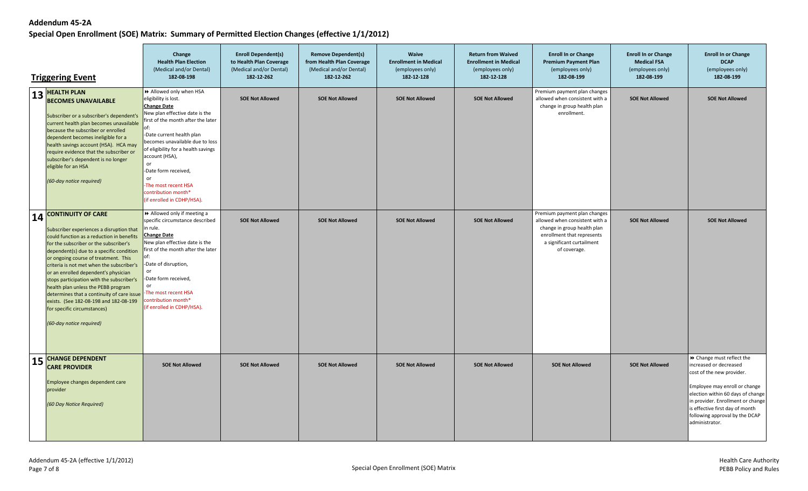|    | <b>Triggering Event</b>                                                                                                                                                                                                                                                                                                                                                                                                                                                                                                                                                      | Change<br><b>Health Plan Election</b><br>(Medical and/or Dental)<br>182-08-198                                                                                                                                                                                                                                                                                                          | <b>Enroll Dependent(s)</b><br>to Health Plan Coverage<br>(Medical and/or Dental)<br>182-12-262 | <b>Remove Dependent(s)</b><br>from Health Plan Coverage<br>(Medical and/or Dental)<br>182-12-262 | <b>Waive</b><br><b>Enrollment in Medical</b><br>(employees only)<br>182-12-128 | <b>Return from Waived</b><br><b>Enrollment in Medical</b><br>(employees only)<br>182-12-128 | <b>Enroll In or Change</b><br><b>Premium Payment Plan</b><br>(employees only)<br>182-08-199                                                                              | <b>Enroll In or Change</b><br><b>Medical FSA</b><br>(employees only)<br>182-08-199 | <b>Enroll In or Change</b><br><b>DCAP</b><br>(employees only)<br>182-08-199                                                                                                                                                                                                        |
|----|------------------------------------------------------------------------------------------------------------------------------------------------------------------------------------------------------------------------------------------------------------------------------------------------------------------------------------------------------------------------------------------------------------------------------------------------------------------------------------------------------------------------------------------------------------------------------|-----------------------------------------------------------------------------------------------------------------------------------------------------------------------------------------------------------------------------------------------------------------------------------------------------------------------------------------------------------------------------------------|------------------------------------------------------------------------------------------------|--------------------------------------------------------------------------------------------------|--------------------------------------------------------------------------------|---------------------------------------------------------------------------------------------|--------------------------------------------------------------------------------------------------------------------------------------------------------------------------|------------------------------------------------------------------------------------|------------------------------------------------------------------------------------------------------------------------------------------------------------------------------------------------------------------------------------------------------------------------------------|
|    | $13$ HEALTH PLAN<br><b>BECOMES UNAVAILABLE</b><br>Subscriber or a subscriber's dependent's<br>current health plan becomes unavailable<br>because the subscriber or enrolled<br>dependent becomes ineligible for a<br>health savings account (HSA). HCA may<br>require evidence that the subscriber or<br>subscriber's dependent is no longer<br>eligible for an HSA<br>(60-day notice required)                                                                                                                                                                              | >> Allowed only when HSA<br>eligibility is lost.<br><b>Change Date</b><br>New plan effective date is the<br>first of the month after the later<br>-Date current health plan<br>becomes unavailable due to loss<br>of eligibility for a health savings<br>account (HSA),<br>or<br>-Date form received,<br>or<br>The most recent HSA<br>contribution month*<br>(if enrolled in CDHP/HSA). | <b>SOE Not Allowed</b>                                                                         | <b>SOE Not Allowed</b>                                                                           | <b>SOE Not Allowed</b>                                                         | <b>SOE Not Allowed</b>                                                                      | Premium payment plan changes<br>allowed when consistent with a<br>change in group health plan<br>enrollment.                                                             | <b>SOE Not Allowed</b>                                                             | <b>SOE Not Allowed</b>                                                                                                                                                                                                                                                             |
| 14 | <b>CONTINUITY OF CARE</b><br>Subscriber experiences a disruption that<br>could function as a reduction in benefits<br>for the subscriber or the subscriber's<br>dependent(s) due to a specific condition<br>or ongoing course of treatment. This<br>criteria is not met when the subscriber's<br>or an enrolled dependent's physician<br>stops participation with the subscriber's<br>health plan unless the PEBB program<br>determines that a continuity of care issue<br>exists. (See 182-08-198 and 182-08-199<br>for specific circumstances)<br>(60-day notice required) | Allowed only if meeting a<br>specific circumstance described<br>in rule.<br><b>Change Date</b><br>New plan effective date is the<br>first of the month after the later<br>-Date of disruption,<br>0r<br>-Date form received,<br>or<br>-The most recent HSA<br>contribution month*<br>(if enrolled in CDHP/HSA).                                                                         | <b>SOE Not Allowed</b>                                                                         | <b>SOE Not Allowed</b>                                                                           | <b>SOE Not Allowed</b>                                                         | <b>SOE Not Allowed</b>                                                                      | Premium payment plan changes<br>allowed when consistent with a<br>change in group health plan<br>enrollment that represents<br>a significant curtailment<br>of coverage. | <b>SOE Not Allowed</b>                                                             | <b>SOE Not Allowed</b>                                                                                                                                                                                                                                                             |
| 15 | <b>CHANGE DEPENDENT</b><br><b>CARE PROVIDER</b><br>Employee changes dependent care<br>provider<br>(60 Day Notice Required)                                                                                                                                                                                                                                                                                                                                                                                                                                                   | <b>SOE Not Allowed</b>                                                                                                                                                                                                                                                                                                                                                                  | <b>SOE Not Allowed</b>                                                                         | <b>SOE Not Allowed</b>                                                                           | <b>SOE Not Allowed</b>                                                         | <b>SOE Not Allowed</b>                                                                      | <b>SOE Not Allowed</b>                                                                                                                                                   | <b>SOE Not Allowed</b>                                                             | > Change must reflect the<br>increased or decreased<br>cost of the new provider.<br>Employee may enroll or change<br>election within 60 days of change<br>in provider. Enrollment or change<br>is effective first day of month<br>following approval by the DCAP<br>administrator. |